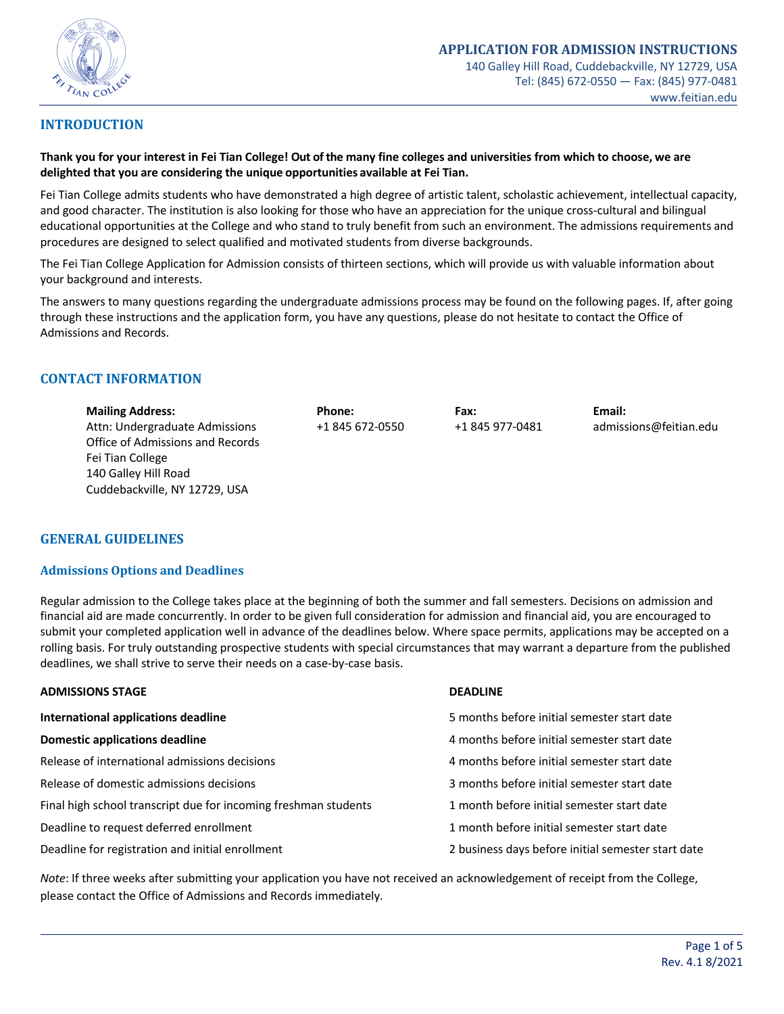

# **INTRODUCTION**

**Thank you for your interest in Fei Tian College! Out of the many fine colleges and universities from which to choose, we are delighted that you are considering the unique opportunities available at Fei Tian.**

Fei Tian College admits students who have demonstrated a high degree of artistic talent, scholastic achievement, intellectual capacity, and good character. The institution is also looking for those who have an appreciation for the unique cross-cultural and bilingual educational opportunities at the College and who stand to truly benefit from such an environment. The admissions requirements and procedures are designed to select qualified and motivated students from diverse backgrounds.

The Fei Tian College Application for Admission consists of thirteen sections, which will provide us with valuable information about your background and interests.

The answers to many questions regarding the undergraduate admissions process may be found on the following pages. If, after going through these instructions and the application form, you have any questions, please do not hesitate to contact the Office of Admissions and Records.

# **CONTACT INFORMATION**

| <b>Mailing Address:</b>          | Phone:          | Fax:            | Email:                 |
|----------------------------------|-----------------|-----------------|------------------------|
| Attn: Undergraduate Admissions   | +1 845 672-0550 | +1 845 977-0481 | admissions@feitian.edu |
| Office of Admissions and Records |                 |                 |                        |
| Fei Tian College                 |                 |                 |                        |
| 140 Galley Hill Road             |                 |                 |                        |
| Cuddebackville, NY 12729, USA    |                 |                 |                        |

# **GENERAL GUIDELINES**

### **Admissions Options and Deadlines**

Regular admission to the College takes place at the beginning of both the summer and fall semesters. Decisions on admission and financial aid are made concurrently. In order to be given full consideration for admission and financial aid, you are encouraged to submit your completed application well in advance of the deadlines below. Where space permits, applications may be accepted on a rolling basis. For truly outstanding prospective students with special circumstances that may warrant a departure from the published deadlines, we shall strive to serve their needs on a case-by-case basis.

| <b>ADMISSIONS STAGE</b>                                         | <b>DEADLINE</b>                                    |  |
|-----------------------------------------------------------------|----------------------------------------------------|--|
| International applications deadline                             | 5 months before initial semester start date        |  |
| Domestic applications deadline                                  | 4 months before initial semester start date        |  |
| Release of international admissions decisions                   | 4 months before initial semester start date        |  |
| Release of domestic admissions decisions                        | 3 months before initial semester start date        |  |
| Final high school transcript due for incoming freshman students | 1 month before initial semester start date         |  |
| Deadline to request deferred enrollment                         | 1 month before initial semester start date         |  |
| Deadline for registration and initial enrollment                | 2 business days before initial semester start date |  |

*Note*: If three weeks after submitting your application you have not received an acknowledgement of receipt from the College, please contact the Office of Admissions and Records immediately.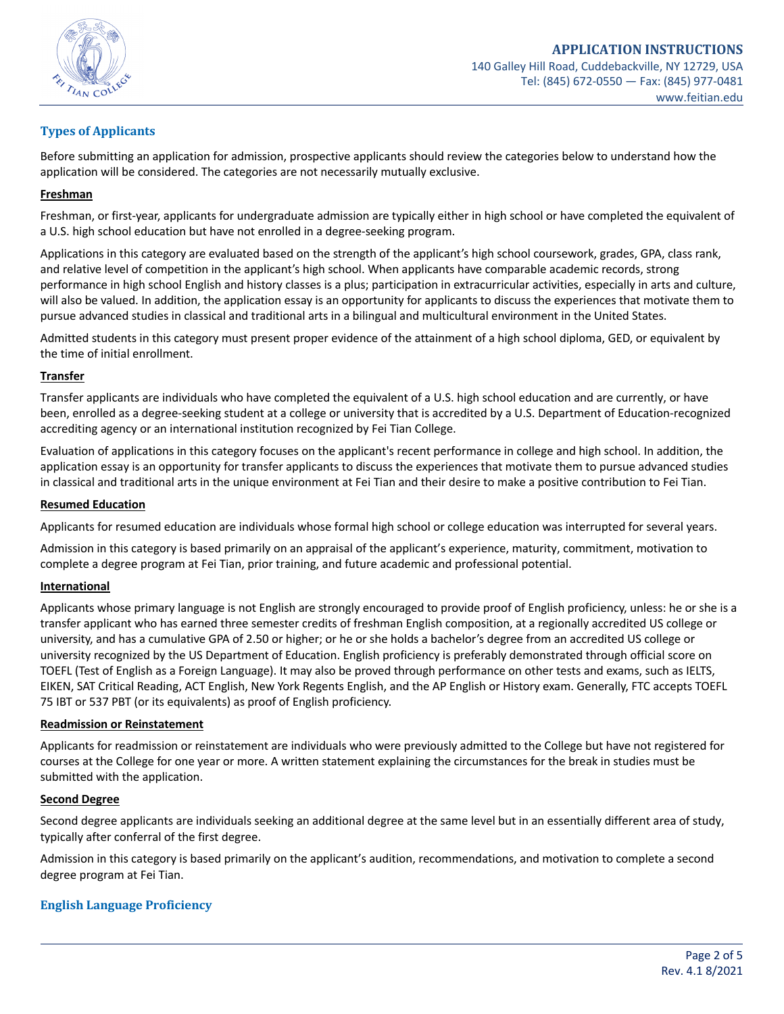

# **Types of Applicants**

Before submitting an application for admission, prospective applicants should review the categories below to understand how the application will be considered. The categories are not necessarily mutually exclusive.

# **Freshman**

Freshman, or first-year, applicants for undergraduate admission are typically either in high school or have completed the equivalent of a U.S. high school education but have not enrolled in a degree-seeking program.

Applications in this category are evaluated based on the strength of the applicant's high school coursework, grades, GPA, class rank, and relative level of competition in the applicant's high school. When applicants have comparable academic records, strong performance in high school English and history classes is a plus; participation in extracurricular activities, especially in arts and culture, will also be valued. In addition, the application essay is an opportunity for applicants to discuss the experiences that motivate them to pursue advanced studies in classical and traditional arts in a bilingual and multicultural environment in the United States.

Admitted students in this category must present proper evidence of the attainment of a high school diploma, GED, or equivalent by the time of initial enrollment.

# **Transfer**

Transfer applicants are individuals who have completed the equivalent of a U.S. high school education and are currently, or have been, enrolled as a degree-seeking student at a college or university that is accredited by a U.S. Department of Education-recognized accrediting agency or an international institution recognized by Fei Tian College.

Evaluation of applications in this category focuses on the applicant's recent performance in college and high school. In addition, the application essay is an opportunity for transfer applicants to discuss the experiences that motivate them to pursue advanced studies in classical and traditional arts in the unique environment at Fei Tian and their desire to make a positive contribution to Fei Tian.

### **Resumed Education**

Applicants for resumed education are individuals whose formal high school or college education was interrupted for several years.

Admission in this category is based primarily on an appraisal of the applicant's experience, maturity, commitment, motivation to complete a degree program at Fei Tian, prior training, and future academic and professional potential.

### **International**

Applicants whose primary language is not English are strongly encouraged to provide proof of English proficiency, unless: he or she is a transfer applicant who has earned three semester credits of freshman English composition, at a regionally accredited US college or university, and has a cumulative GPA of 2.50 or higher; or he or she holds a bachelor's degree from an accredited US college or university recognized by the US Department of Education. English proficiency is preferably demonstrated through official score on TOEFL (Test of English as a Foreign Language). It may also be proved through performance on other tests and exams, such as IELTS, EIKEN, SAT Critical Reading, ACT English, New York Regents English, and the AP English or History exam. Generally, FTC accepts TOEFL 75 IBT or 537 PBT (or its equivalents) as proof of English proficiency.

### **Readmission or Reinstatement**

Applicants for readmission or reinstatement are individuals who were previously admitted to the College but have not registered for courses at the College for one year or more. A written statement explaining the circumstances for the break in studies must be submitted with the application.

### **Second Degree**

Second degree applicants are individuals seeking an additional degree at the same level but in an essentially different area of study, typically after conferral of the first degree.

Admission in this category is based primarily on the applicant's audition, recommendations, and motivation to complete a second degree program at Fei Tian.

# **English Language Proficiency**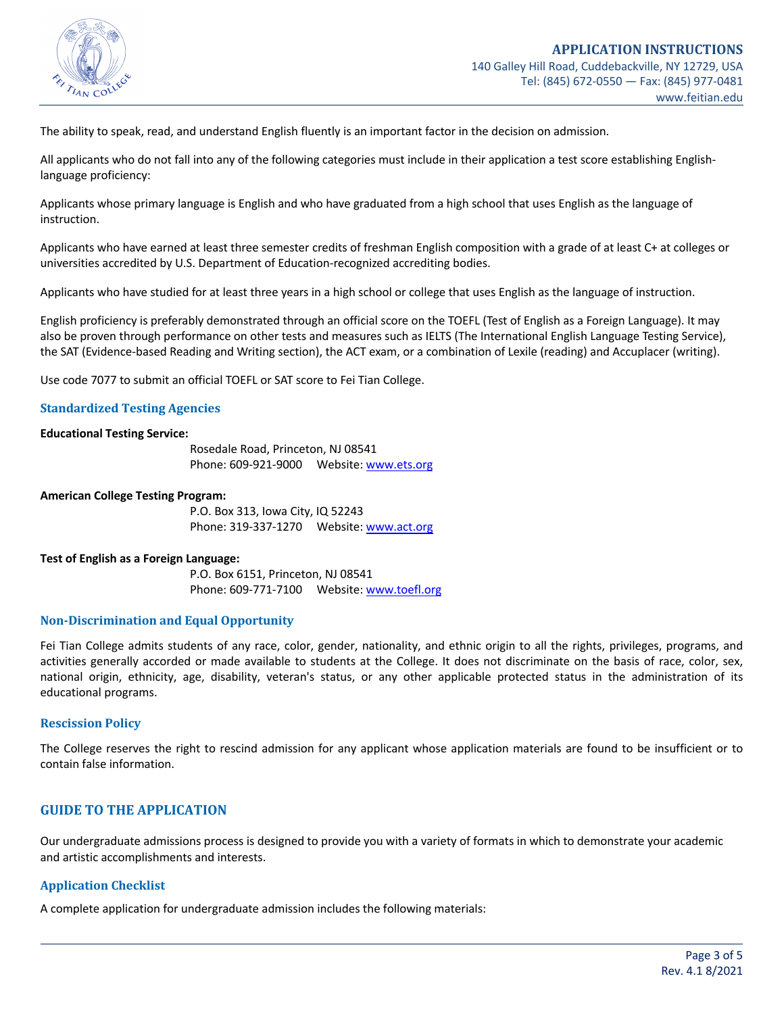

The ability to speak, read, and understand English fluently is an important factor in the decision on admission.

All applicants who do not fall into any of the following categories must include in their application a test score establishing Englishlanguage proficiency:

Applicants whose primary language is English and who have graduated from a high school that uses English as the language of instruction.

Applicants who have earned at least three semester credits of freshman English composition with a grade of at least C+ at colleges or universities accredited by U.S. Department of Education-recognized accrediting bodies.

Applicants who have studied for at least three years in a high school or college that uses English as the language of instruction.

English proficiency is preferably demonstrated through an official score on the TOEFL (Test of English as a Foreign Language). It may also be proven through performance on other tests and measures such as IELTS (The International English Language Testing Service), the SAT (Evidence-based Reading and Writing section), the ACT exam, or a combination of Lexile (reading) and Accuplacer (writing).

Use code 7077 to submit an official TOEFL or SAT score to Fei Tian College.

# **Standardized Testing Agencies**

#### **Educational Testing Service:**

Rosedale Road, Princeton, NJ 08541 Phone: 609-921-9000 Website: www.ets.org

#### **American College Testing Program:**

P.O. Box 313, Iowa City, IQ 52243 Phone: 319-337-1270 Website: www.act.org

#### **Test of English as a Foreign Language:**

P.O. Box 6151, Princeton, NJ 08541 Phone: 609-771-7100 Website: www.toefl.org

#### **Non-Discrimination and Equal Opportunity**

Fei Tian College admits students of any race, color, gender, nationality, and ethnic origin to all the rights, privileges, programs, and activities generally accorded or made available to students at the College. It does not discriminate on the basis of race, color, sex, national origin, ethnicity, age, disability, veteran's status, or any other applicable protected status in the administration of its educational programs.

#### **Rescission Policy**

The College reserves the right to rescind admission for any applicant whose application materials are found to be insufficient or to contain false information.

# **GUIDE TO THE APPLICATION**

Our undergraduate admissions process is designed to provide you with a variety of formats in which to demonstrate your academic and artistic accomplishments and interests.

## **Application Checklist**

A complete application for undergraduate admission includes the following materials: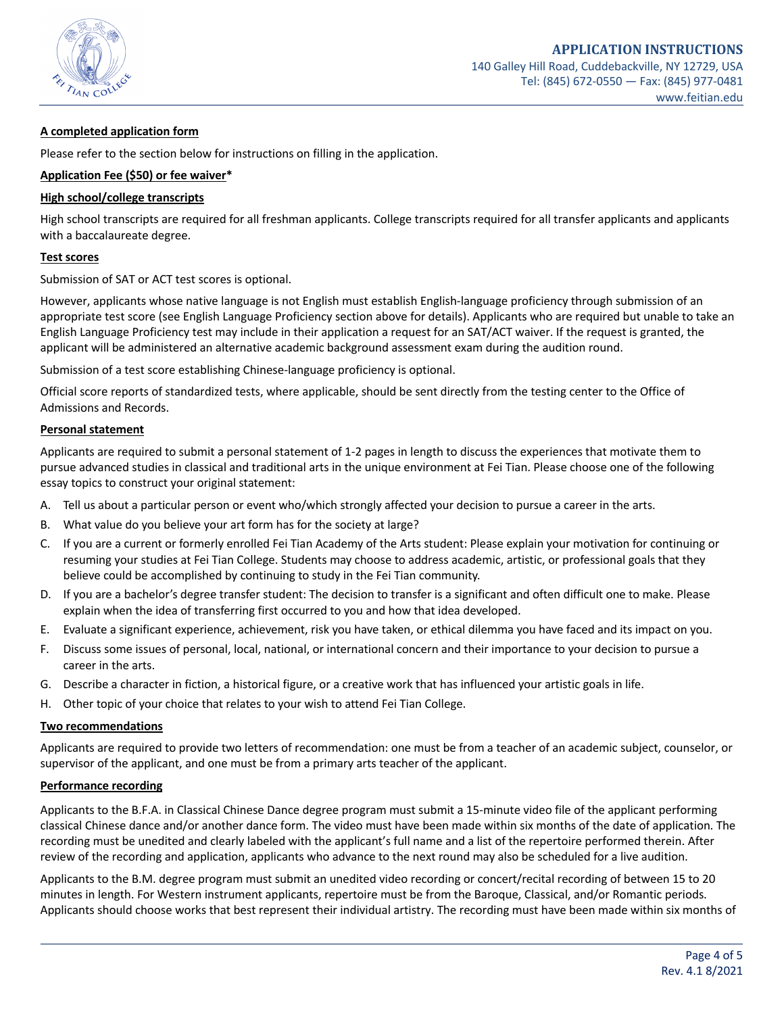

# **A completed application form**

Please refer to the section below for instructions on filling in the application.

### **Application Fee (\$50) or fee waiver\***

### **High school/college transcripts**

High school transcripts are required for all freshman applicants. College transcripts required for all transfer applicants and applicants with a baccalaureate degree.

### **Test scores**

Submission of SAT or ACT test scores is optional.

However, applicants whose native language is not English must establish English-language proficiency through submission of an appropriate test score (see English Language Proficiency section above for details). Applicants who are required but unable to take an English Language Proficiency test may include in their application a request for an SAT/ACT waiver. If the request is granted, the applicant will be administered an alternative academic background assessment exam during the audition round.

Submission of a test score establishing Chinese-language proficiency is optional.

Official score reports of standardized tests, where applicable, should be sent directly from the testing center to the Office of Admissions and Records.

### **Personal statement**

Applicants are required to submit a personal statement of 1-2 pages in length to discuss the experiences that motivate them to pursue advanced studies in classical and traditional arts in the unique environment at Fei Tian. Please choose one of the following essay topics to construct your original statement:

- A. Tell us about a particular person or event who/which strongly affected your decision to pursue a career in the arts.
- B. What value do you believe your art form has for the society at large?
- C. If you are a current or formerly enrolled Fei Tian Academy of the Arts student: Please explain your motivation for continuing or resuming your studies at Fei Tian College. Students may choose to address academic, artistic, or professional goals that they believe could be accomplished by continuing to study in the Fei Tian community.
- D. If you are a bachelor's degree transfer student: The decision to transfer is a significant and often difficult one to make. Please explain when the idea of transferring first occurred to you and how that idea developed.
- E. Evaluate a significant experience, achievement, risk you have taken, or ethical dilemma you have faced and its impact on you.
- F. Discuss some issues of personal, local, national, or international concern and their importance to your decision to pursue a career in the arts.
- G. Describe a character in fiction, a historical figure, or a creative work that has influenced your artistic goals in life.
- H. Other topic of your choice that relates to your wish to attend Fei Tian College.

#### **Two recommendations**

Applicants are required to provide two letters of recommendation: one must be from a teacher of an academic subject, counselor, or supervisor of the applicant, and one must be from a primary arts teacher of the applicant.

### **Performance recording**

Applicants to the B.F.A. in Classical Chinese Dance degree program must submit a 15-minute video file of the applicant performing classical Chinese dance and/or another dance form. The video must have been made within six months of the date of application. The recording must be unedited and clearly labeled with the applicant's full name and a list of the repertoire performed therein. After review of the recording and application, applicants who advance to the next round may also be scheduled for a live audition.

Applicants to the B.M. degree program must submit an unedited video recording or concert/recital recording of between 15 to 20 minutes in length. For Western instrument applicants, repertoire must be from the Baroque, Classical, and/or Romantic periods. Applicants should choose works that best represent their individual artistry. The recording must have been made within six months of